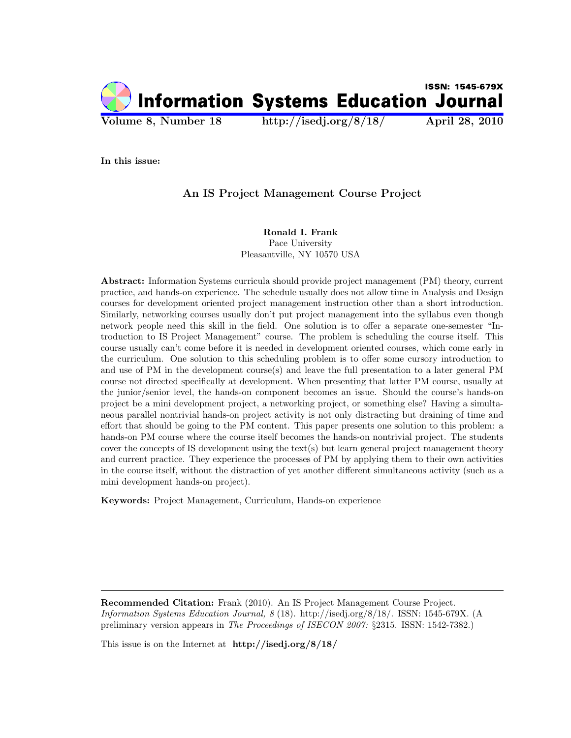

In this issue:

# An IS Project Management Course Project

Ronald I. Frank Pace University Pleasantville, NY 10570 USA

Abstract: Information Systems curricula should provide project management (PM) theory, current practice, and hands-on experience. The schedule usually does not allow time in Analysis and Design courses for development oriented project management instruction other than a short introduction. Similarly, networking courses usually don't put project management into the syllabus even though network people need this skill in the field. One solution is to offer a separate one-semester "Introduction to IS Project Management" course. The problem is scheduling the course itself. This course usually can't come before it is needed in development oriented courses, which come early in the curriculum. One solution to this scheduling problem is to offer some cursory introduction to and use of PM in the development course(s) and leave the full presentation to a later general PM course not directed specifically at development. When presenting that latter PM course, usually at the junior/senior level, the hands-on component becomes an issue. Should the course's hands-on project be a mini development project, a networking project, or something else? Having a simultaneous parallel nontrivial hands-on project activity is not only distracting but draining of time and effort that should be going to the PM content. This paper presents one solution to this problem: a hands-on PM course where the course itself becomes the hands-on nontrivial project. The students cover the concepts of IS development using the text(s) but learn general project management theory and current practice. They experience the processes of PM by applying them to their own activities in the course itself, without the distraction of yet another different simultaneous activity (such as a mini development hands-on project).

Keywords: Project Management, Curriculum, Hands-on experience

Recommended Citation: Frank (2010). An IS Project Management Course Project. Information Systems Education Journal, 8 (18). http://isedj.org/8/18/. ISSN: 1545-679X. (A preliminary version appears in The Proceedings of ISECON 2007: §2315. ISSN: 1542-7382.)

This issue is on the Internet at http://isedj.org/8/18/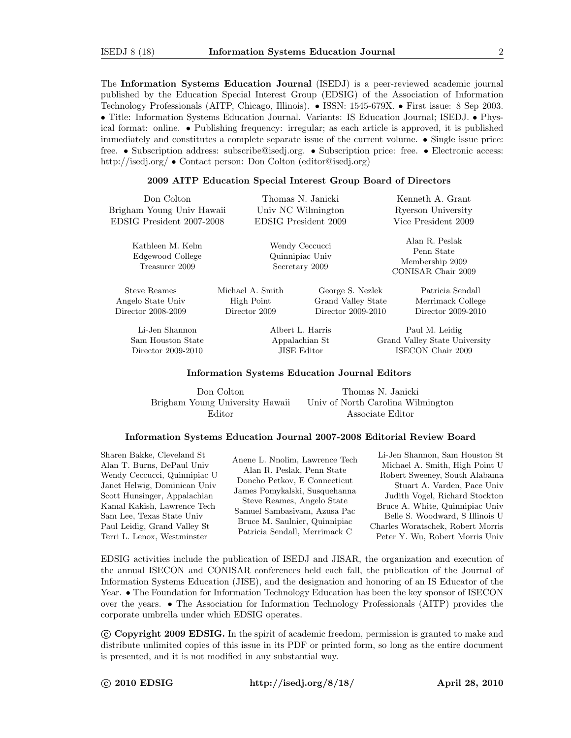The Information Systems Education Journal (ISEDJ) is a peer-reviewed academic journal published by the Education Special Interest Group (EDSIG) of the Association of Information Technology Professionals (AITP, Chicago, Illinois). • ISSN: 1545-679X. • First issue: 8 Sep 2003. • Title: Information Systems Education Journal. Variants: IS Education Journal; ISEDJ. • Physical format: online. • Publishing frequency: irregular; as each article is approved, it is published immediately and constitutes a complete separate issue of the current volume. • Single issue price: free. • Subscription address: subscribe@isedj.org. • Subscription price: free. • Electronic access: http://isedj.org/ • Contact person: Don Colton (editor@isedj.org)

#### 2009 AITP Education Special Interest Group Board of Directors

| Don Colton<br>Brigham Young Univ Hawaii                | Thomas N. Janicki<br>Univ NC Wilmington |                                                                           | Kenneth A. Grant<br>Ryerson University |  |  |
|--------------------------------------------------------|-----------------------------------------|---------------------------------------------------------------------------|----------------------------------------|--|--|
| EDSIG President 2007-2008                              | EDSIG President 2009                    |                                                                           | Vice President 2009                    |  |  |
| Kathleen M. Kelm<br>Edgewood College<br>Treasurer 2009 |                                         | Wendy Ceccucci<br>Quinnipiac Univ<br>Secretary 2009<br>CONISAR Chair 2009 |                                        |  |  |
| Steve Reames                                           | Michael A. Smith                        | George S. Nezlek                                                          | Patricia Sendall                       |  |  |
| Angelo State Univ                                      | High Point                              | Grand Valley State                                                        | Merrimack College                      |  |  |
| Director 2008-2009                                     | Director 2009                           | Director 2009-2010                                                        | Director 2009-2010                     |  |  |

Li-Jen Shannon Sam Houston State Director 2009-2010

Albert L. Harris Appalachian St JISE Editor

Paul M. Leidig Grand Valley State University ISECON Chair 2009

#### Information Systems Education Journal Editors

Don Colton Brigham Young University Hawaii Editor

Thomas N. Janicki Univ of North Carolina Wilmington Associate Editor

#### Information Systems Education Journal 2007-2008 Editorial Review Board

Sharen Bakke, Cleveland St Alan T. Burns, DePaul Univ Wendy Ceccucci, Quinnipiac U Janet Helwig, Dominican Univ Scott Hunsinger, Appalachian Kamal Kakish, Lawrence Tech Sam Lee, Texas State Univ Paul Leidig, Grand Valley St Terri L. Lenox, Westminster

Anene L. Nnolim, Lawrence Tech Alan R. Peslak, Penn State Doncho Petkov, E Connecticut James Pomykalski, Susquehanna Steve Reames, Angelo State Samuel Sambasivam, Azusa Pac Bruce M. Saulnier, Quinnipiac Patricia Sendall, Merrimack C

Li-Jen Shannon, Sam Houston St Michael A. Smith, High Point U Robert Sweeney, South Alabama Stuart A. Varden, Pace Univ Judith Vogel, Richard Stockton Bruce A. White, Quinnipiac Univ Belle S. Woodward, S Illinois U Charles Woratschek, Robert Morris Peter Y. Wu, Robert Morris Univ

EDSIG activities include the publication of ISEDJ and JISAR, the organization and execution of the annual ISECON and CONISAR conferences held each fall, the publication of the Journal of Information Systems Education (JISE), and the designation and honoring of an IS Educator of the Year. • The Foundation for Information Technology Education has been the key sponsor of ISECON over the years. • The Association for Information Technology Professionals (AITP) provides the corporate umbrella under which EDSIG operates.

 c Copyright 2009 EDSIG. In the spirit of academic freedom, permission is granted to make and distribute unlimited copies of this issue in its PDF or printed form, so long as the entire document is presented, and it is not modified in any substantial way.

c 2010 EDSIG http://isedj.org/8/18/ April 28, 2010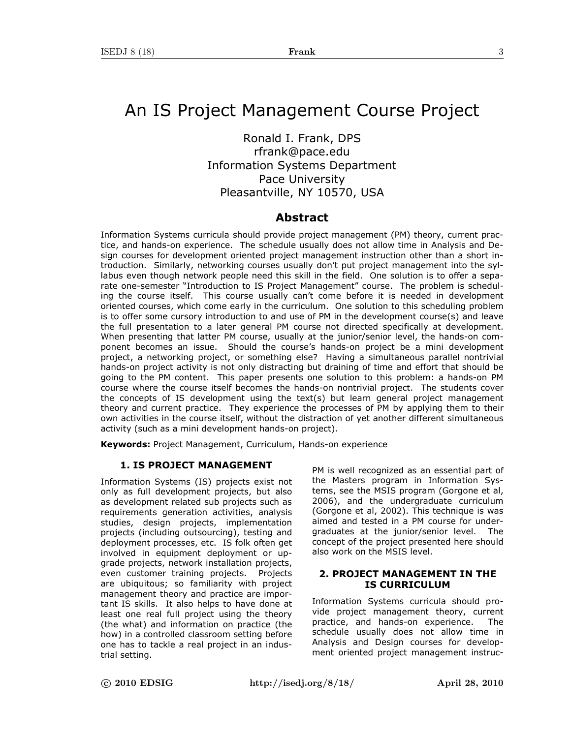# An IS Project Management Course Project

Ronald I. Frank, DPS rfrank@pace.edu Information Systems Department Pace University Pleasantville, NY 10570, USA

# **Abstract**

Information Systems curricula should provide project management (PM) theory, current practice, and hands-on experience. The schedule usually does not allow time in Analysis and Design courses for development oriented project management instruction other than a short introduction. Similarly, networking courses usually don't put project management into the syllabus even though network people need this skill in the field. One solution is to offer a separate one-semester "Introduction to IS Project Management" course. The problem is scheduling the course itself. This course usually can't come before it is needed in development oriented courses, which come early in the curriculum. One solution to this scheduling problem is to offer some cursory introduction to and use of PM in the development course(s) and leave the full presentation to a later general PM course not directed specifically at development. When presenting that latter PM course, usually at the junior/senior level, the hands-on component becomes an issue. Should the course's hands-on project be a mini development project, a networking project, or something else? Having a simultaneous parallel nontrivial hands-on project activity is not only distracting but draining of time and effort that should be going to the PM content. This paper presents one solution to this problem: a hands-on PM course where the course itself becomes the hands-on nontrivial project. The students cover the concepts of IS development using the text(s) but learn general project management theory and current practice. They experience the processes of PM by applying them to their own activities in the course itself, without the distraction of yet another different simultaneous activity (such as a mini development hands-on project).

**Keywords:** Project Management, Curriculum, Hands-on experience

### **1. IS PROJECT MANAGEMENT**

Information Systems (IS) projects exist not only as full development projects, but also as development related sub projects such as requirements generation activities, analysis studies, design projects, implementation projects (including outsourcing), testing and deployment processes, etc. IS folk often get involved in equipment deployment or upgrade projects, network installation projects, even customer training projects. Projects are ubiquitous; so familiarity with project management theory and practice are important IS skills. It also helps to have done at least one real full project using the theory (the what) and information on practice (the how) in a controlled classroom setting before one has to tackle a real project in an industrial setting.

PM is well recognized as an essential part of the Masters program in Information Systems, see the MSIS program (Gorgone et al, 2006), and the undergraduate curriculum (Gorgone et al, 2002). This technique is was aimed and tested in a PM course for undergraduates at the junior/senior level. The concept of the project presented here should also work on the MSIS level.

### **2. PROJECT MANAGEMENT IN THE IS CURRICULUM**

Information Systems curricula should provide project management theory, current practice, and hands-on experience. The schedule usually does not allow time in Analysis and Design courses for development oriented project management instruc-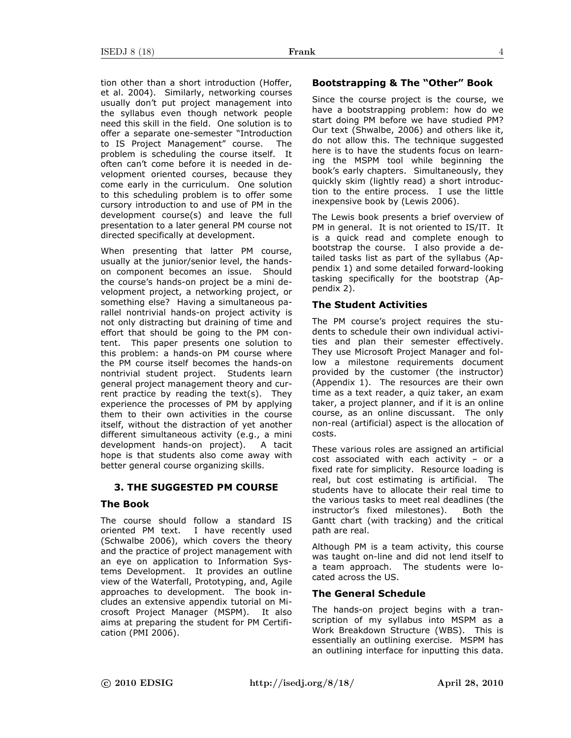tion other than a short introduction (Hoffer, et al. 2004). Similarly, networking courses usually don't put project management into the syllabus even though network people need this skill in the field. One solution is to offer a separate one-semester "Introduction to IS Project Management" course. The problem is scheduling the course itself. It often can't come before it is needed in development oriented courses, because they come early in the curriculum. One solution to this scheduling problem is to offer some cursory introduction to and use of PM in the development course(s) and leave the full presentation to a later general PM course not directed specifically at development.

When presenting that latter PM course, usually at the junior/senior level, the handson component becomes an issue. Should the course's hands-on project be a mini development project, a networking project, or something else? Having a simultaneous parallel nontrivial hands-on project activity is not only distracting but draining of time and effort that should be going to the PM content. This paper presents one solution to this problem: a hands-on PM course where the PM course itself becomes the hands-on nontrivial student project. Students learn general project management theory and current practice by reading the text(s). They experience the processes of PM by applying them to their own activities in the course itself, without the distraction of yet another different simultaneous activity (e.g., a mini development hands-on project). A tacit hope is that students also come away with better general course organizing skills.

### **3. THE SUGGESTED PM COURSE**

### **The Book**

The course should follow a standard IS oriented PM text. I have recently used (Schwalbe 2006), which covers the theory and the practice of project management with an eye on application to Information Systems Development. It provides an outline view of the Waterfall, Prototyping, and, Agile approaches to development. The book includes an extensive appendix tutorial on Microsoft Project Manager (MSPM). It also aims at preparing the student for PM Certification (PMI 2006).

### **Bootstrapping & The "Other" Book**

Since the course project is the course, we have a bootstrapping problem: how do we start doing PM before we have studied PM? Our text (Shwalbe, 2006) and others like it, do not allow this. The technique suggested here is to have the students focus on learning the MSPM tool while beginning the book's early chapters. Simultaneously, they quickly skim (lightly read) a short introduction to the entire process. I use the little inexpensive book by (Lewis 2006).

The Lewis book presents a brief overview of PM in general. It is not oriented to IS/IT. It is a quick read and complete enough to bootstrap the course. I also provide a detailed tasks list as part of the syllabus (Appendix 1) and some detailed forward-looking tasking specifically for the bootstrap (Appendix 2).

### **The Student Activities**

The PM course's project requires the students to schedule their own individual activities and plan their semester effectively. They use Microsoft Project Manager and follow a milestone requirements document provided by the customer (the instructor) (Appendix 1). The resources are their own time as a text reader, a quiz taker, an exam taker, a project planner, and if it is an online course, as an online discussant. The only non-real (artificial) aspect is the allocation of costs.

These various roles are assigned an artificial cost associated with each activity – or a fixed rate for simplicity. Resource loading is real, but cost estimating is artificial. The students have to allocate their real time to the various tasks to meet real deadlines (the instructor's fixed milestones). Both the Gantt chart (with tracking) and the critical path are real.

Although PM is a team activity, this course was taught on-line and did not lend itself to a team approach. The students were located across the US.

#### **The General Schedule**

The hands-on project begins with a transcription of my syllabus into MSPM as a Work Breakdown Structure (WBS). This is essentially an outlining exercise. MSPM has an outlining interface for inputting this data.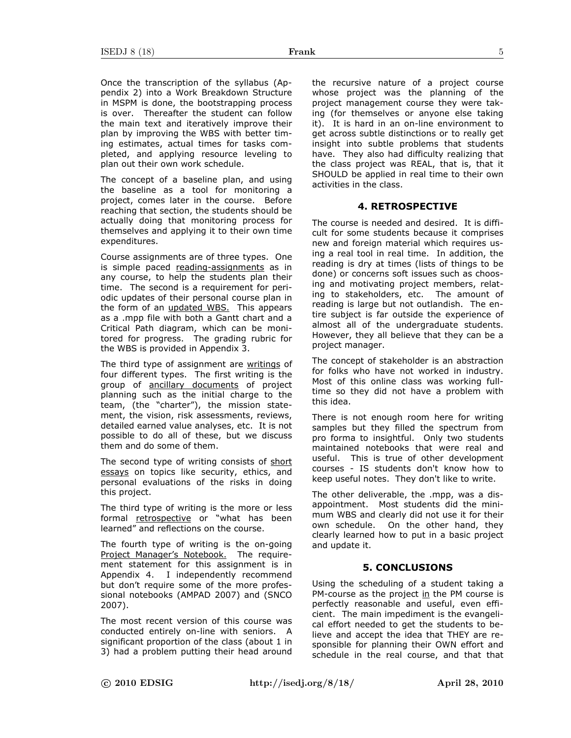Once the transcription of the syllabus (Appendix 2) into a Work Breakdown Structure in MSPM is done, the bootstrapping process is over. Thereafter the student can follow the main text and iteratively improve their plan by improving the WBS with better timing estimates, actual times for tasks completed, and applying resource leveling to plan out their own work schedule.

The concept of a baseline plan, and using the baseline as a tool for monitoring a project, comes later in the course. Before reaching that section, the students should be actually doing that monitoring process for themselves and applying it to their own time expenditures.

Course assignments are of three types. One is simple paced reading-assignments as in any course, to help the students plan their time. The second is a requirement for periodic updates of their personal course plan in the form of an updated WBS. This appears as a .mpp file with both a Gantt chart and a Critical Path diagram, which can be monitored for progress. The grading rubric for the WBS is provided in Appendix 3.

The third type of assignment are writings of four different types. The first writing is the group of ancillary documents of project planning such as the initial charge to the team, (the "charter"), the mission statement, the vision, risk assessments, reviews, detailed earned value analyses, etc. It is not possible to do all of these, but we discuss them and do some of them.

The second type of writing consists of short essays on topics like security, ethics, and personal evaluations of the risks in doing this project.

The third type of writing is the more or less formal retrospective or "what has been learned" and reflections on the course.

The fourth type of writing is the on-going Project Manager's Notebook. The requirement statement for this assignment is in Appendix 4. I independently recommend but don't require some of the more professional notebooks (AMPAD 2007) and (SNCO 2007).

The most recent version of this course was conducted entirely on-line with seniors. A significant proportion of the class (about 1 in 3) had a problem putting their head around the recursive nature of a project course whose project was the planning of the project management course they were taking (for themselves or anyone else taking it). It is hard in an on-line environment to get across subtle distinctions or to really get insight into subtle problems that students have. They also had difficulty realizing that the class project was REAL, that is, that it SHOULD be applied in real time to their own activities in the class.

#### **4. RETROSPECTIVE**

The course is needed and desired. It is difficult for some students because it comprises new and foreign material which requires using a real tool in real time. In addition, the reading is dry at times (lists of things to be done) or concerns soft issues such as choosing and motivating project members, relating to stakeholders, etc. The amount of reading is large but not outlandish. The entire subject is far outside the experience of almost all of the undergraduate students. However, they all believe that they can be a project manager.

The concept of stakeholder is an abstraction for folks who have not worked in industry. Most of this online class was working fulltime so they did not have a problem with this idea.

There is not enough room here for writing samples but they filled the spectrum from pro forma to insightful. Only two students maintained notebooks that were real and useful. This is true of other development courses - IS students don't know how to keep useful notes. They don't like to write.

The other deliverable, the .mpp, was a disappointment. Most students did the minimum WBS and clearly did not use it for their own schedule. On the other hand, they clearly learned how to put in a basic project and update it.

### **5. CONCLUSIONS**

Using the scheduling of a student taking a PM-course as the project in the PM course is perfectly reasonable and useful, even efficient. The main impediment is the evangelical effort needed to get the students to believe and accept the idea that THEY are responsible for planning their OWN effort and schedule in the real course, and that that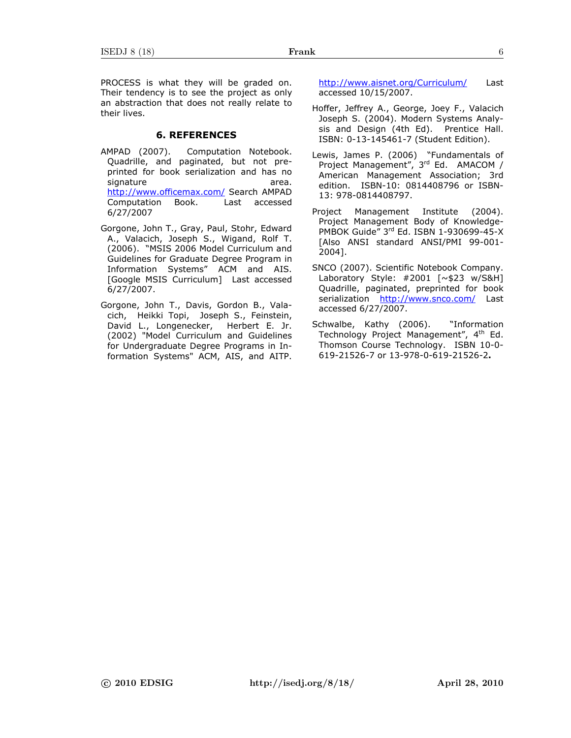PROCESS is what they will be graded on. Their tendency is to see the project as only an abstraction that does not really relate to their lives.

#### **6. REFERENCES**

- AMPAD (2007). Computation Notebook. Quadrille, and paginated, but not preprinted for book serialization and has no signature area. http://www.officemax.com/ Search AMPAD Computation Book. Last accessed 6/27/2007
- Gorgone, John T., Gray, Paul, Stohr, Edward A., Valacich, Joseph S., Wigand, Rolf T. (2006). "MSIS 2006 Model Curriculum and Guidelines for Graduate Degree Program in Information Systems" ACM and AIS. [Google MSIS Curriculum] Last accessed 6/27/2007.
- Gorgone, John T., Davis, Gordon B., Valacich, Heikki Topi, Joseph S., Feinstein, David L., Longenecker, Herbert E. Jr. (2002) "Model Curriculum and Guidelines for Undergraduate Degree Programs in Information Systems" ACM, AIS, and AITP.

http://www.aisnet.org/Curriculum/ Last accessed 10/15/2007.

- Hoffer, Jeffrey A., George, Joey F., Valacich Joseph S. (2004). Modern Systems Analysis and Design (4th Ed). Prentice Hall. ISBN: 0-13-145461-7 (Student Edition).
- Lewis, James P. (2006) "Fundamentals of Project Management", 3rd Ed. AMACOM / American Management Association; 3rd edition. ISBN-10: 0814408796 or ISBN-13: 978-0814408797.
- Project Management Institute (2004). Project Management Body of Knowledge-PMBOK Guide" 3rd Ed. ISBN 1-930699-45-X [Also ANSI standard ANSI/PMI 99-001- 2004].
- SNCO (2007). Scientific Notebook Company. Laboratory Style: #2001 [~\$23 w/S&H] Quadrille, paginated, preprinted for book serialization http://www.snco.com/ Last accessed 6/27/2007.
- Schwalbe, Kathy (2006). "Information Technology Project Management", 4<sup>th</sup> Ed. Thomson Course Technology. ISBN 10-0- 619-21526-7 or 13-978-0-619-21526-2**.**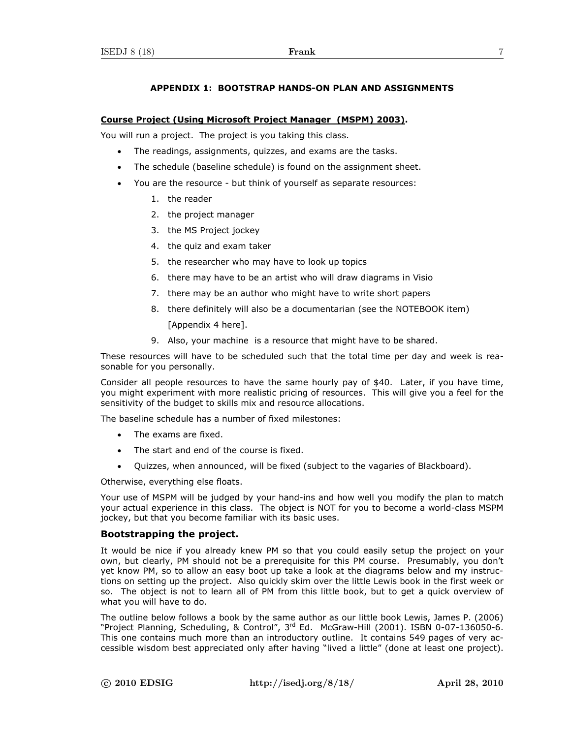# **APPENDIX 1: BOOTSTRAP HANDS-ON PLAN AND ASSIGNMENTS**

#### **Course Project (Using Microsoft Project Manager (MSPM) 2003).**

You will run a project. The project is you taking this class.

- The readings, assignments, quizzes, and exams are the tasks.
- The schedule (baseline schedule) is found on the assignment sheet.
- You are the resource but think of yourself as separate resources:
	- 1. the reader
	- 2. the project manager
	- 3. the MS Project jockey
	- 4. the quiz and exam taker
	- 5. the researcher who may have to look up topics
	- 6. there may have to be an artist who will draw diagrams in Visio
	- 7. there may be an author who might have to write short papers
	- 8. there definitely will also be a documentarian (see the NOTEBOOK item) [Appendix 4 here].
	- 9. Also, your machine is a resource that might have to be shared.

These resources will have to be scheduled such that the total time per day and week is reasonable for you personally.

Consider all people resources to have the same hourly pay of \$40. Later, if you have time, you might experiment with more realistic pricing of resources. This will give you a feel for the sensitivity of the budget to skills mix and resource allocations.

The baseline schedule has a number of fixed milestones:

- The exams are fixed.
- The start and end of the course is fixed.
- Quizzes, when announced, will be fixed (subject to the vagaries of Blackboard).

Otherwise, everything else floats.

Your use of MSPM will be judged by your hand-ins and how well you modify the plan to match your actual experience in this class. The object is NOT for you to become a world-class MSPM jockey, but that you become familiar with its basic uses.

### **Bootstrapping the project.**

It would be nice if you already knew PM so that you could easily setup the project on your own, but clearly, PM should not be a prerequisite for this PM course. Presumably, you don't yet know PM, so to allow an easy boot up take a look at the diagrams below and my instructions on setting up the project. Also quickly skim over the little Lewis book in the first week or so. The object is not to learn all of PM from this little book, but to get a quick overview of what you will have to do.

The outline below follows a book by the same author as our little book Lewis, James P. (2006) "Project Planning, Scheduling, & Control", 3rd Ed. McGraw-Hill (2001). ISBN 0-07-136050-6. This one contains much more than an introductory outline. It contains 549 pages of very accessible wisdom best appreciated only after having "lived a little" (done at least one project).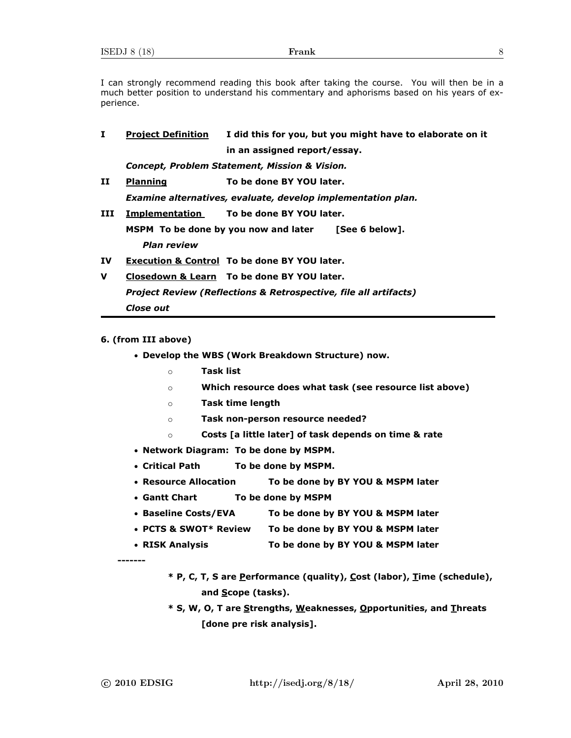I can strongly recommend reading this book after taking the course. You will then be in a much better position to understand his commentary and aphorisms based on his years of experience.

| Ι.           | <b>Project Definition</b>                                                   | I did this for you, but you might have to elaborate on it |  |  |  |  |
|--------------|-----------------------------------------------------------------------------|-----------------------------------------------------------|--|--|--|--|
|              |                                                                             | in an assigned report/essay.                              |  |  |  |  |
|              | Concept, Problem Statement, Mission & Vision.                               |                                                           |  |  |  |  |
| $\mathbf{H}$ | <b>Planning</b>                                                             | To be done BY YOU later.                                  |  |  |  |  |
|              | Examine alternatives, evaluate, develop implementation plan.                |                                                           |  |  |  |  |
| III          |                                                                             | Implementation To be done BY YOU later.                   |  |  |  |  |
|              | MSPM To be done by you now and later [See 6 below].                         |                                                           |  |  |  |  |
|              | <b>Plan review</b>                                                          |                                                           |  |  |  |  |
| IV.          |                                                                             | <b>Execution &amp; Control To be done BY YOU later.</b>   |  |  |  |  |
| v            | Closedown & Learn To be done BY YOU later.                                  |                                                           |  |  |  |  |
|              | <b>Project Review (Reflections &amp; Retrospective, file all artifacts)</b> |                                                           |  |  |  |  |
|              | <b>Close out</b>                                                            |                                                           |  |  |  |  |
|              |                                                                             |                                                           |  |  |  |  |

# **6. (from III above)**

- **Develop the WBS (Work Breakdown Structure) now.** 
	- o **Task list**
	- o **Which resource does what task (see resource list above)**
	- o **Task time length**
	- o **Task non-person resource needed?**
	- o **Costs [a little later] of task depends on time & rate**
- **Network Diagram: To be done by MSPM.**
- **Critical Path To be done by MSPM.**
- **Resource Allocation To be done by BY YOU & MSPM later**
- **Gantt Chart To be done by MSPM**
- **Baseline Costs/EVA To be done by BY YOU & MSPM later**
- **PCTS & SWOT\* Review To be done by BY YOU & MSPM later**
- **RISK Analysis To be done by BY YOU & MSPM later**

**-------** 

- **\* P, C, T, S are Performance (quality), Cost (labor), Time (schedule), and Scope (tasks).**
- **\* S, W, O, T are Strengths, Weaknesses, Opportunities, and Threats [done pre risk analysis].**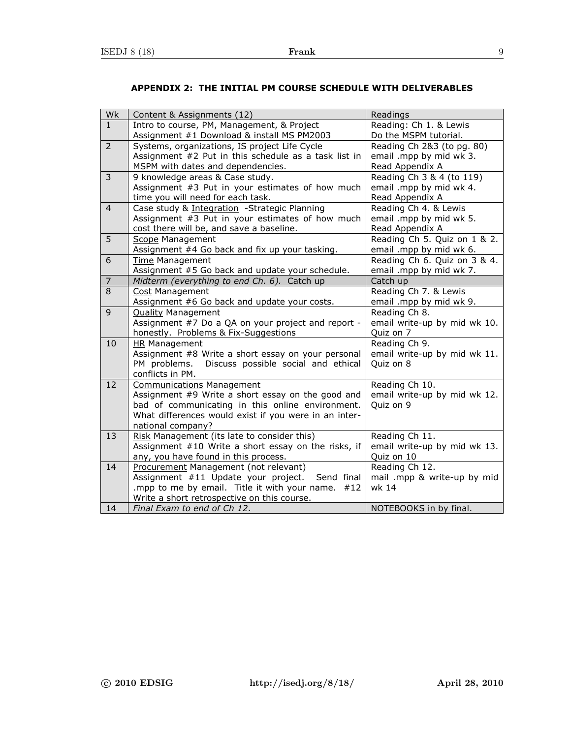| Wk             | Content & Assignments (12)                                                            | Readings                     |
|----------------|---------------------------------------------------------------------------------------|------------------------------|
| $\mathbf{1}$   | Intro to course, PM, Management, & Project                                            | Reading: Ch 1. & Lewis       |
|                | Assignment #1 Download & install MS PM2003                                            | Do the MSPM tutorial.        |
| $\overline{2}$ | Systems, organizations, IS project Life Cycle                                         | Reading Ch 2&3 (to pg. 80)   |
|                | Assignment #2 Put in this schedule as a task list in                                  | email .mpp by mid wk 3.      |
|                | MSPM with dates and dependencies.                                                     | Read Appendix A              |
| 3              | 9 knowledge areas & Case study.                                                       | Reading Ch 3 & 4 (to 119)    |
|                | Assignment #3 Put in your estimates of how much                                       | email .mpp by mid wk 4.      |
|                | time you will need for each task.                                                     | Read Appendix A              |
| $\overline{4}$ | Case study & Integration -Strategic Planning                                          | Reading Ch 4. & Lewis        |
|                | Assignment #3 Put in your estimates of how much                                       | email .mpp by mid wk 5.      |
|                | cost there will be, and save a baseline.                                              | Read Appendix A              |
| 5              | Scope Management                                                                      | Reading Ch 5. Quiz on 1 & 2. |
|                | Assignment #4 Go back and fix up your tasking.                                        | email .mpp by mid wk 6.      |
| 6              | Time Management                                                                       | Reading Ch 6. Quiz on 3 & 4. |
|                | Assignment #5 Go back and update your schedule.                                       | email .mpp by mid wk 7.      |
| 7              | Midterm (everything to end Ch. 6). Catch up                                           | Catch up                     |
| 8              | <b>Cost Management</b>                                                                | Reading Ch 7. & Lewis        |
|                | Assignment #6 Go back and update your costs.                                          | email .mpp by mid wk 9.      |
| 9              | <b>Quality Management</b>                                                             | Reading Ch 8.                |
|                | Assignment #7 Do a QA on your project and report -                                    | email write-up by mid wk 10. |
|                | honestly. Problems & Fix-Suggestions                                                  | Quiz on 7                    |
| 10             | <b>HR</b> Management                                                                  | Reading Ch 9.                |
|                | Assignment #8 Write a short essay on your personal                                    | email write-up by mid wk 11. |
|                | Discuss possible social and ethical<br>PM problems.                                   | Quiz on 8                    |
| 12             | conflicts in PM.                                                                      | Reading Ch 10.               |
|                | <b>Communications Management</b><br>Assignment #9 Write a short essay on the good and | email write-up by mid wk 12. |
|                | bad of communicating in this online environment.                                      | Quiz on 9                    |
|                | What differences would exist if you were in an inter-                                 |                              |
|                | national company?                                                                     |                              |
| 13             | Risk Management (its late to consider this)                                           | Reading Ch 11.               |
|                | Assignment #10 Write a short essay on the risks, if                                   | email write-up by mid wk 13. |
|                | any, you have found in this process.                                                  | Quiz on 10                   |
| 14             | Procurement Management (not relevant)                                                 | Reading Ch 12.               |
|                | Assignment #11 Update your project.<br>Send final                                     | mail .mpp & write-up by mid  |
|                | .mpp to me by email. Title it with your name.<br>#12                                  | wk 14                        |
|                | Write a short retrospective on this course.                                           |                              |
| 14             | Final Exam to end of Ch 12.                                                           | NOTEBOOKS in by final.       |

# **APPENDIX 2: THE INITIAL PM COURSE SCHEDULE WITH DELIVERABLES**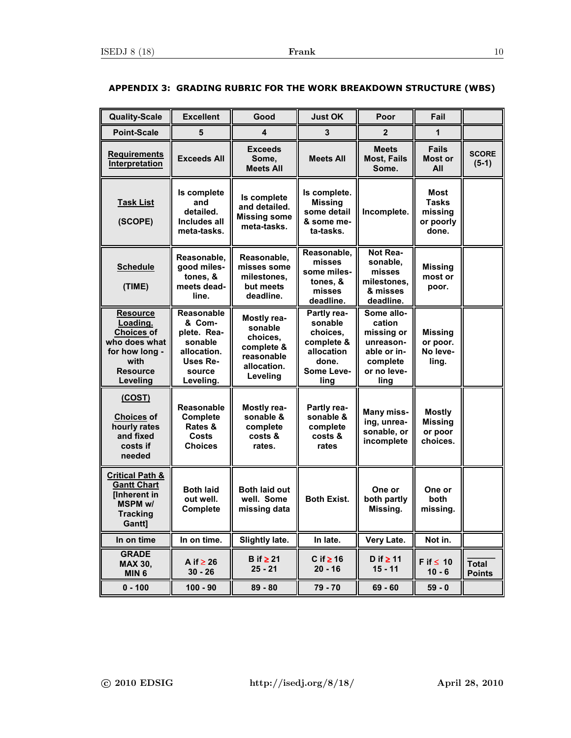| <b>Quality-Scale</b>                                                                                                       | <b>Excellent</b>                                                                                               | Good                                                                                      | <b>Just OK</b>                                                                                | Poor                                                                                              | Fail                                                         |                               |
|----------------------------------------------------------------------------------------------------------------------------|----------------------------------------------------------------------------------------------------------------|-------------------------------------------------------------------------------------------|-----------------------------------------------------------------------------------------------|---------------------------------------------------------------------------------------------------|--------------------------------------------------------------|-------------------------------|
| <b>Point-Scale</b>                                                                                                         | 5                                                                                                              | 4                                                                                         | 3                                                                                             | $\mathbf{2}$                                                                                      | 1                                                            |                               |
| <b>Requirements</b><br>Interpretation                                                                                      | <b>Exceeds All</b>                                                                                             | <b>Exceeds</b><br>Some,<br><b>Meets All</b>                                               | <b>Meets All</b>                                                                              | <b>Meets</b><br><b>Most, Fails</b><br>Some.                                                       | <b>Fails</b><br>Most or<br>All                               | <b>SCORE</b><br>$(5-1)$       |
| <b>Task List</b><br>(SCOPE)                                                                                                | Is complete<br>and<br>detailed.<br><b>Includes all</b><br>meta-tasks.                                          | Is complete<br>and detailed.<br><b>Missing some</b><br>meta-tasks.                        | Is complete.<br><b>Missing</b><br>some detail<br>& some me-<br>ta-tasks.                      | Incomplete.                                                                                       | <b>Most</b><br><b>Tasks</b><br>missing<br>or poorly<br>done. |                               |
| <b>Schedule</b><br>(TIME)                                                                                                  | Reasonable,<br>good miles-<br>tones, &<br>meets dead-<br>line.                                                 | Reasonable,<br>misses some<br>milestones,<br>but meets<br>deadline.                       | Reasonable,<br>misses<br>some miles-<br>tones, &<br>misses<br>deadline.                       | Not Rea-<br>sonable,<br>misses<br>milestones,<br>& misses<br>deadline.                            | <b>Missing</b><br>most or<br>poor.                           |                               |
| <b>Resource</b><br>Loading.<br><b>Choices of</b><br>who does what<br>for how long -<br>with<br><b>Resource</b><br>Leveling | <b>Reasonable</b><br>& Com-<br>plete. Rea-<br>sonable<br>allocation.<br><b>Uses Re-</b><br>source<br>Leveling. | Mostly rea-<br>sonable<br>choices.<br>complete &<br>reasonable<br>allocation.<br>Leveling | Partly rea-<br>sonable<br>choices.<br>complete &<br>allocation<br>done.<br>Some Leve-<br>ling | Some allo-<br>cation<br>missing or<br>unreason-<br>able or in-<br>complete<br>or no leve-<br>ling | <b>Missing</b><br>or poor.<br>No leve-<br>ling.              |                               |
| (COST)<br><b>Choices of</b><br>hourly rates<br>and fixed<br>costs if<br>needed                                             | Reasonable<br>Complete<br>Rates &<br>Costs<br><b>Choices</b>                                                   | Mostly rea-<br>sonable &<br>complete<br>costs &<br>rates.                                 | Partly rea-<br>sonable &<br>complete<br>costs &<br>rates                                      | Many miss-<br>ing, unrea-<br>sonable, or<br>incomplete                                            | <b>Mostly</b><br><b>Missing</b><br>or poor<br>choices.       |                               |
| <b>Critical Path &amp;</b><br><b>Gantt Chart</b><br>[Inherent in<br><b>MSPM w/</b><br><b>Tracking</b><br>Gantt]            | <b>Both laid</b><br>out well.<br>Complete                                                                      | <b>Both laid out</b><br>well. Some<br>missing data                                        | <b>Both Exist.</b>                                                                            | One or<br>both partly<br>Missing.                                                                 | One or<br>both<br>missing.                                   |                               |
| In on time                                                                                                                 | In on time.                                                                                                    | Slightly late.                                                                            | In late.                                                                                      | Very Late.                                                                                        | Not in.                                                      |                               |
| <b>GRADE</b><br><b>MAX 30,</b><br>MIN <sub>6</sub>                                                                         | A if $\geq$ 26<br>$30 - 26$                                                                                    | B if $\geq 21$<br>$25 - 21$                                                               | C if $\geq$ 16<br>$20 - 16$                                                                   | D if $\geq 11$<br>$15 - 11$                                                                       | F if $\leq 10$<br>$10 - 6$                                   | <b>Total</b><br><b>Points</b> |
| $0 - 100$                                                                                                                  | $100 - 90$                                                                                                     | $89 - 80$                                                                                 | 79 - 70                                                                                       | $69 - 60$                                                                                         | $59 - 0$                                                     |                               |

# **APPENDIX 3: GRADING RUBRIC FOR THE WORK BREAKDOWN STRUCTURE (WBS)**